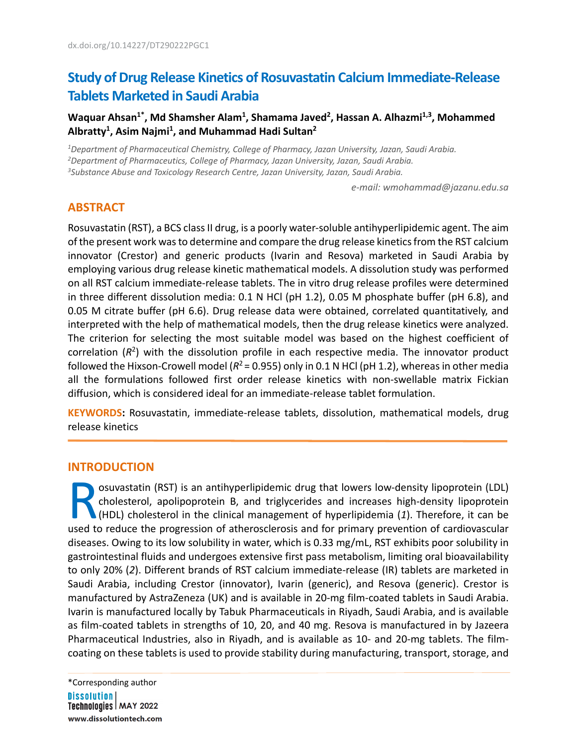# **Study of Drug Release Kinetics of Rosuvastatin Calcium Immediate-Release Tablets Marketed in Saudi Arabia**

Waquar Ahsan<sup>1\*</sup>, Md Shamsher Alam<sup>1</sup>, Shamama Javed<sup>2</sup>, Hassan A. Alhazmi<sup>1,3</sup>, Mohammed **Albratty1 , Asim Najmi1 , and Muhammad Hadi Sultan2**

*1 Department of Pharmaceutical Chemistry, College of Pharmacy, Jazan University, Jazan, Saudi Arabia.*

*2 Department of Pharmaceutics, College of Pharmacy, Jazan University, Jazan, Saudi Arabia. 3 Substance Abuse and Toxicology Research Centre, Jazan University, Jazan, Saudi Arabia.*

*e-mail: wmohammad@jazanu.edu.sa*

## **ABSTRACT**

Rosuvastatin (RST), a BCS class II drug, is a poorly water-soluble antihyperlipidemic agent. The aim of the present work was to determine and compare the drug release kinetics from the RST calcium innovator (Crestor) and generic products (Ivarin and Resova) marketed in Saudi Arabia by employing various drug release kinetic mathematical models. A dissolution study was performed on all RST calcium immediate-release tablets. The in vitro drug release profiles were determined in three different dissolution media: 0.1 N HCl (pH 1.2), 0.05 M phosphate buffer (pH 6.8), and 0.05 M citrate buffer (pH 6.6). Drug release data were obtained, correlated quantitatively, and interpreted with the help of mathematical models, then the drug release kinetics were analyzed. The criterion for selecting the most suitable model was based on the highest coefficient of correlation (*R*2) with the dissolution profile in each respective media. The innovator product followed the Hixson-Crowell model ( $R^2$  = 0.955) only in 0.1 N HCl (pH 1.2), whereas in other media all the formulations followed first order release kinetics with non-swellable matrix Fickian diffusion, which is considered ideal for an immediate-release tablet formulation.

**KEYWORDS:** Rosuvastatin, immediate-release tablets, dissolution, mathematical models, drug release kinetics

#### **INTRODUCTION**

osuvastatin (RST) is an antihyperlipidemic drug that lowers low-density lipoprotein (LDL) cholesterol, apolipoprotein B, and triglycerides and increases high-density lipoprotein (HDL) cholesterol in the clinical management of hyperlipidemia (*1*). Therefore, it can be osuvastatin (RST) is an antihyperlipidemic drug that lowers low-density lipoprotein (LDL) cholesterol, apolipoprotein B, and triglycerides and increases high-density lipoprotein (HDL) cholesterol in the clinical management diseases. Owing to its low solubility in water, which is 0.33 mg/mL, RST exhibits poor solubility in gastrointestinal fluids and undergoes extensive first pass metabolism, limiting oral bioavailability to only 20% (*2*). Different brands of RST calcium immediate-release (IR) tablets are marketed in Saudi Arabia, including Crestor (innovator), Ivarin (generic), and Resova (generic). Crestor is manufactured by AstraZeneza (UK) and is available in 20-mg film-coated tablets in Saudi Arabia. Ivarin is manufactured locally by Tabuk Pharmaceuticals in Riyadh, Saudi Arabia, and is available as film-coated tablets in strengths of 10, 20, and 40 mg. Resova is manufactured in by Jazeera Pharmaceutical Industries, also in Riyadh, and is available as 10- and 20-mg tablets. The filmcoating on these tablets is used to provide stability during manufacturing, transport, storage, and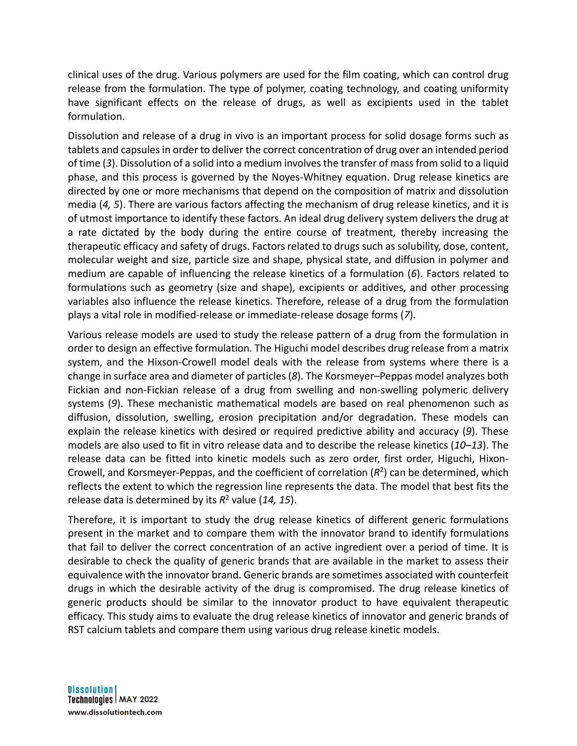clinical uses of the drug. Various polymers are used for the film coating, which can control drug release from the formulation. The type of polymer, coating technology, and coating uniformity have significant effects on the release of drugs, as well as excipients used in the tablet formulation.

Dissolution and release of a drug in vivo is an important process for solid dosage forms such as tablets and capsules in order to deliver the correct concentration of drug over an intended period of time (*3*). Dissolution of a solid into a medium involves the transfer of mass from solid to a liquid phase, and this process is governed by the Noyes-Whitney equation. Drug release kinetics are directed by one or more mechanisms that depend on the composition of matrix and dissolution media (*4, 5*). There are various factors affecting the mechanism of drug release kinetics, and it is of utmost importance to identify these factors. An ideal drug delivery system delivers the drug at a rate dictated by the body during the entire course of treatment, thereby increasing the therapeutic efficacy and safety of drugs. Factors related to drugs such as solubility, dose, content, molecular weight and size, particle size and shape, physical state, and diffusion in polymer and medium are capable of influencing the release kinetics of a formulation (*6*). Factors related to formulations such as geometry (size and shape), excipients or additives, and other processing variables also influence the release kinetics. Therefore, release of a drug from the formulation plays a vital role in modified-release or immediate-release dosage forms (*7*).

Various release models are used to study the release pattern of a drug from the formulation in order to design an effective formulation. The Higuchi model describes drug release from a matrix system, and the Hixson-Crowell model deals with the release from systems where there is a change in surface area and diameter of particles (*8*). The Korsmeyer–Peppas model analyzes both Fickian and non-Fickian release of a drug from swelling and non-swelling polymeric delivery systems (*9*). These mechanistic mathematical models are based on real phenomenon such as diffusion, dissolution, swelling, erosion precipitation and/or degradation. These models can explain the release kinetics with desired or required predictive ability and accuracy (*9*). These models are also used to fit in vitro release data and to describe the release kinetics (*10–13*). The release data can be fitted into kinetic models such as zero order, first order, Higuchi, Hixon-Crowell, and Korsmeyer-Peppas, and the coefficient of correlation (*R*2) can be determined, which reflects the extent to which the regression line represents the data. The model that best fits the release data is determined by its *R*<sup>2</sup> value (*14, 15*).

Therefore, it is important to study the drug release kinetics of different generic formulations present in the market and to compare them with the innovator brand to identify formulations that fail to deliver the correct concentration of an active ingredient over a period of time. It is desirable to check the quality of generic brands that are available in the market to assess their equivalence with the innovator brand. Generic brands are sometimes associated with counterfeit drugs in which the desirable activity of the drug is compromised. The drug release kinetics of generic products should be similar to the innovator product to have equivalent therapeutic efficacy. This study aims to evaluate the drug release kinetics of innovator and generic brands of RST calcium tablets and compare them using various drug release kinetic models.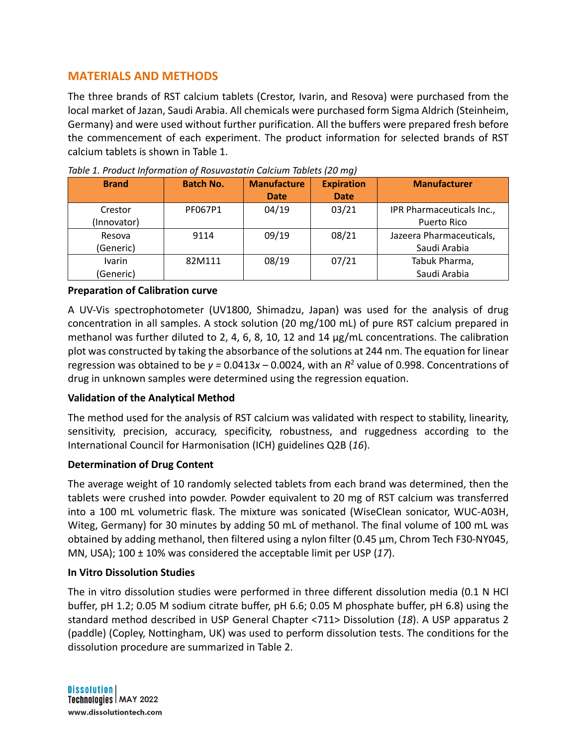## **MATERIALS AND METHODS**

The three brands of RST calcium tablets (Crestor, Ivarin, and Resova) were purchased from the local market of Jazan, Saudi Arabia. All chemicals were purchased form Sigma Aldrich (Steinheim, Germany) and were used without further purification. All the buffers were prepared fresh before the commencement of each experiment. The product information for selected brands of RST calcium tablets is shown in Table 1.

| <b>Brand</b> | <b>Batch No.</b> | <b>Manufacture</b> | <b>Expiration</b> | <b>Manufacturer</b>       |  |
|--------------|------------------|--------------------|-------------------|---------------------------|--|
|              |                  | <b>Date</b>        | <b>Date</b>       |                           |  |
| Crestor      | PF067P1          | 04/19              | 03/21             | IPR Pharmaceuticals Inc., |  |
| (Innovator)  |                  |                    |                   | Puerto Rico               |  |
| Resova       | 9114             | 09/19              | 08/21             | Jazeera Pharmaceuticals,  |  |
| (Generic)    |                  |                    |                   | Saudi Arabia              |  |
| Ivarin       | 82M111           | 08/19              | 07/21             | Tabuk Pharma,             |  |
| (Generic)    |                  |                    |                   | Saudi Arabia              |  |

*Table 1. Product Information of Rosuvastatin Calcium Tablets (20 mg)* 

#### **Preparation of Calibration curve**

A UV-Vis spectrophotometer (UV1800, Shimadzu, Japan) was used for the analysis of drug concentration in all samples. A stock solution (20 mg/100 mL) of pure RST calcium prepared in methanol was further diluted to 2, 4, 6, 8, 10, 12 and 14  $\mu$ g/mL concentrations. The calibration plot was constructed by taking the absorbance of the solutions at 244 nm. The equation for linear regression was obtained to be  $y = 0.0413x - 0.0024$ , with an  $R^2$  value of 0.998. Concentrations of drug in unknown samples were determined using the regression equation.

### **Validation of the Analytical Method**

The method used for the analysis of RST calcium was validated with respect to stability, linearity, sensitivity, precision, accuracy, specificity, robustness, and ruggedness according to the International Council for Harmonisation (ICH) guidelines Q2B (*16*).

### **Determination of Drug Content**

The average weight of 10 randomly selected tablets from each brand was determined, then the tablets were crushed into powder. Powder equivalent to 20 mg of RST calcium was transferred into a 100 mL volumetric flask. The mixture was sonicated (WiseClean sonicator, WUC-A03H, Witeg, Germany) for 30 minutes by adding 50 mL of methanol. The final volume of 100 mL was obtained by adding methanol, then filtered using a nylon filter (0.45 µm, Chrom Tech F30-NY045, MN, USA); 100 ± 10% was considered the acceptable limit per USP (*17*).

### **In Vitro Dissolution Studies**

The in vitro dissolution studies were performed in three different dissolution media (0.1 N HCl buffer, pH 1.2; 0.05 M sodium citrate buffer, pH 6.6; 0.05 M phosphate buffer, pH 6.8) using the standard method described in USP General Chapter <711> Dissolution (*18*). A USP apparatus 2 (paddle) (Copley, Nottingham, UK) was used to perform dissolution tests. The conditions for the dissolution procedure are summarized in Table 2.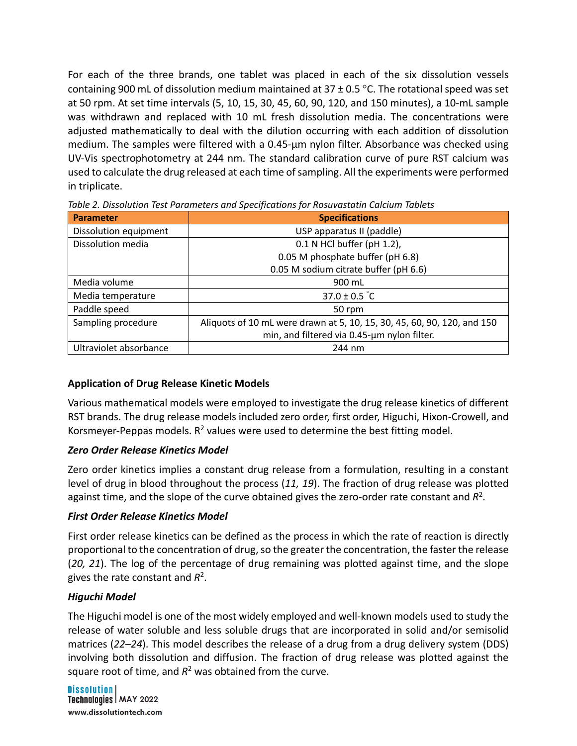For each of the three brands, one tablet was placed in each of the six dissolution vessels containing 900 mL of dissolution medium maintained at  $37 \pm 0.5$  °C. The rotational speed was set at 50 rpm. At set time intervals (5, 10, 15, 30, 45, 60, 90, 120, and 150 minutes), a 10-mL sample was withdrawn and replaced with 10 mL fresh dissolution media. The concentrations were adjusted mathematically to deal with the dilution occurring with each addition of dissolution medium. The samples were filtered with a 0.45-µm nylon filter. Absorbance was checked using UV-Vis spectrophotometry at 244 nm. The standard calibration curve of pure RST calcium was used to calculate the drug released at each time of sampling. All the experiments were performed in triplicate.

| <b>Parameter</b>       | <b>Specifications</b>                                                   |  |  |  |
|------------------------|-------------------------------------------------------------------------|--|--|--|
| Dissolution equipment  | USP apparatus II (paddle)                                               |  |  |  |
| Dissolution media      | 0.1 N HCl buffer (pH 1.2),                                              |  |  |  |
|                        | 0.05 M phosphate buffer (pH 6.8)                                        |  |  |  |
|                        | 0.05 M sodium citrate buffer (pH 6.6)                                   |  |  |  |
| Media volume           | 900 mL                                                                  |  |  |  |
| Media temperature      | 37.0 ± 0.5 $^{\circ}$ C                                                 |  |  |  |
| Paddle speed           | 50 rpm                                                                  |  |  |  |
| Sampling procedure     | Aliquots of 10 mL were drawn at 5, 10, 15, 30, 45, 60, 90, 120, and 150 |  |  |  |
|                        | min, and filtered via 0.45-um nylon filter.                             |  |  |  |
| Ultraviolet absorbance | 244 nm                                                                  |  |  |  |

*Table 2. Dissolution Test Parameters and Specifications for Rosuvastatin Calcium Tablets*

### **Application of Drug Release Kinetic Models**

Various mathematical models were employed to investigate the drug release kinetics of different RST brands. The drug release models included zero order, first order, Higuchi, Hixon-Crowell, and Korsmeyer-Peppas models.  $R^2$  values were used to determine the best fitting model.

### *Zero Order Release Kinetics Model*

Zero order kinetics implies a constant drug release from a formulation, resulting in a constant level of drug in blood throughout the process (*11, 19*). The fraction of drug release was plotted against time, and the slope of the curve obtained gives the zero-order rate constant and *R*2.

### *First Order Release Kinetics Model*

First order release kinetics can be defined as the process in which the rate of reaction is directly proportional to the concentration of drug, so the greater the concentration, the faster the release (*20, 21*). The log of the percentage of drug remaining was plotted against time, and the slope gives the rate constant and *R*2.

## *Higuchi Model*

The Higuchi model is one of the most widely employed and well-known models used to study the release of water soluble and less soluble drugs that are incorporated in solid and/or semisolid matrices (*22–24*). This model describes the release of a drug from a drug delivery system (DDS) involving both dissolution and diffusion. The fraction of drug release was plotted against the square root of time, and  $R^2$  was obtained from the curve.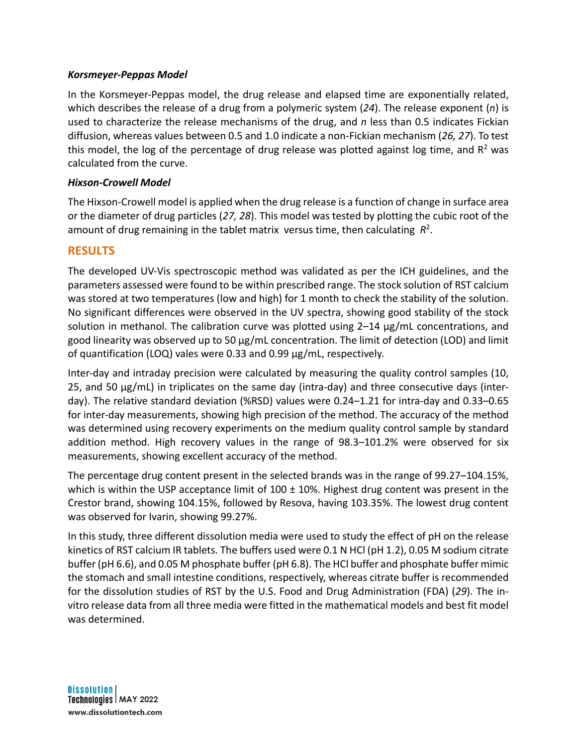#### *Korsmeyer-Peppas Model*

In the Korsmeyer-Peppas model, the drug release and elapsed time are exponentially related, which describes the release of a drug from a polymeric system (*24*). The release exponent (*n*) is used to characterize the release mechanisms of the drug, and *n* less than 0.5 indicates Fickian diffusion, whereas values between 0.5 and 1.0 indicate a non-Fickian mechanism (*26, 27*). To test this model, the log of the percentage of drug release was plotted against log time, and  $R<sup>2</sup>$  was calculated from the curve.

#### *Hixson-Crowell Model*

The Hixson-Crowell model is applied when the drug release is a function of change in surface area or the diameter of drug particles (*27, 28*). This model was tested by plotting the cubic root of the amount of drug remaining in the tablet matrix versus time, then calculating *R*2.

## **RESULTS**

The developed UV-Vis spectroscopic method was validated as per the ICH guidelines, and the parameters assessed were found to be within prescribed range. The stock solution of RST calcium was stored at two temperatures (low and high) for 1 month to check the stability of the solution. No significant differences were observed in the UV spectra, showing good stability of the stock solution in methanol. The calibration curve was plotted using 2-14  $\mu$ g/mL concentrations, and good linearity was observed up to 50 µg/mL concentration. The limit of detection (LOD) and limit of quantification (LOQ) vales were 0.33 and 0.99 µg/mL, respectively.

Inter-day and intraday precision were calculated by measuring the quality control samples (10, 25, and 50 µg/mL) in triplicates on the same day (intra-day) and three consecutive days (interday). The relative standard deviation (%RSD) values were 0.24–1.21 for intra-day and 0.33–0.65 for inter-day measurements, showing high precision of the method. The accuracy of the method was determined using recovery experiments on the medium quality control sample by standard addition method. High recovery values in the range of 98.3–101.2% were observed for six measurements, showing excellent accuracy of the method.

The percentage drug content present in the selected brands was in the range of 99.27–104.15%, which is within the USP acceptance limit of  $100 \pm 10\%$ . Highest drug content was present in the Crestor brand, showing 104.15%, followed by Resova, having 103.35%. The lowest drug content was observed for Ivarin, showing 99.27%.

In this study, three different dissolution media were used to study the effect of pH on the release kinetics of RST calcium IR tablets. The buffers used were 0.1 N HCl (pH 1.2), 0.05 M sodium citrate buffer (pH 6.6), and 0.05 M phosphate buffer (pH 6.8). The HCl buffer and phosphate buffer mimic the stomach and small intestine conditions, respectively, whereas citrate buffer is recommended for the dissolution studies of RST by the U.S. Food and Drug Administration (FDA) (*29*). The invitro release data from all three media were fitted in the mathematical models and best fit model was determined.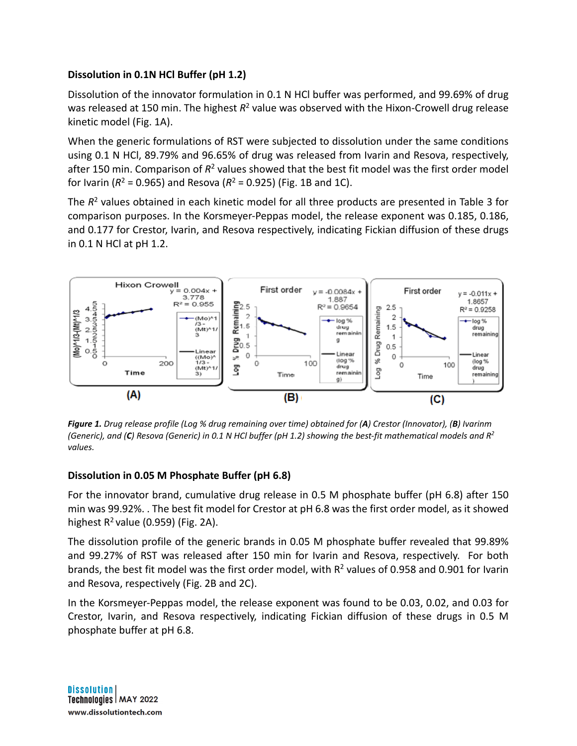## **Dissolution in 0.1N HCl Buffer (pH 1.2)**

Dissolution of the innovator formulation in 0.1 N HCl buffer was performed, and 99.69% of drug was released at 150 min. The highest  $R^2$  value was observed with the Hixon-Crowell drug release kinetic model (Fig. 1A).

When the generic formulations of RST were subjected to dissolution under the same conditions using 0.1 N HCl, 89.79% and 96.65% of drug was released from Ivarin and Resova, respectively, after 150 min. Comparison of *R*<sup>2</sup> values showed that the best fit model was the first order model for Ivarin ( $R^2$  = 0.965) and Resova ( $R^2$  = 0.925) (Fig. 1B and 1C).

The  $R^2$  values obtained in each kinetic model for all three products are presented in Table 3 for comparison purposes. In the Korsmeyer-Peppas model, the release exponent was 0.185, 0.186, and 0.177 for Crestor, Ivarin, and Resova respectively, indicating Fickian diffusion of these drugs in 0.1 N HCl at pH 1.2.



*Figure 1. Drug release profile (Log % drug remaining over time) obtained for (A) Crestor (Innovator), (B) Ivarinm (Generic), and (C) Resova (Generic) in 0.1 N HCl buffer (pH 1.2) showing the best-fit mathematical models and R2 values.*

### **Dissolution in 0.05 M Phosphate Buffer (pH 6.8)**

For the innovator brand, cumulative drug release in 0.5 M phosphate buffer (pH 6.8) after 150 min was 99.92%. . The best fit model for Crestor at pH 6.8 was the first order model, as it showed highest  $R^2$  value (0.959) (Fig. 2A).

The dissolution profile of the generic brands in 0.05 M phosphate buffer revealed that 99.89% and 99.27% of RST was released after 150 min for Ivarin and Resova, respectively. For both brands, the best fit model was the first order model, with  $R^2$  values of 0.958 and 0.901 for Ivarin and Resova, respectively (Fig. 2B and 2C).

In the Korsmeyer-Peppas model, the release exponent was found to be 0.03, 0.02, and 0.03 for Crestor, Ivarin, and Resova respectively, indicating Fickian diffusion of these drugs in 0.5 M phosphate buffer at pH 6.8.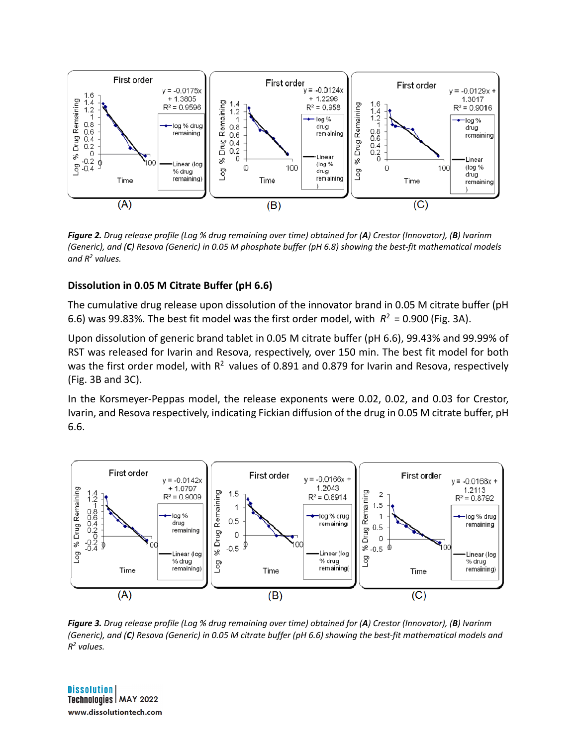

*Figure 2. Drug release profile (Log % drug remaining over time) obtained for (A) Crestor (Innovator), (B) Ivarinm (Generic), and (C) Resova (Generic) in 0.05 M phosphate buffer (pH 6.8) showing the best-fit mathematical models and R2 values.*

#### **Dissolution in 0.05 M Citrate Buffer (pH 6.6)**

The cumulative drug release upon dissolution of the innovator brand in 0.05 M citrate buffer (pH 6.6) was 99.83%. The best fit model was the first order model, with  $R^2 = 0.900$  (Fig. 3A).

Upon dissolution of generic brand tablet in 0.05 M citrate buffer (pH 6.6), 99.43% and 99.99% of RST was released for Ivarin and Resova, respectively, over 150 min. The best fit model for both was the first order model, with  $R^2$  values of 0.891 and 0.879 for Ivarin and Resova, respectively (Fig. 3B and 3C).

In the Korsmeyer-Peppas model, the release exponents were 0.02, 0.02, and 0.03 for Crestor, Ivarin, and Resova respectively, indicating Fickian diffusion of the drug in 0.05 M citrate buffer, pH 6.6.



*Figure 3. Drug release profile (Log % drug remaining over time) obtained for (A) Crestor (Innovator), (B) Ivarinm (Generic), and (C) Resova (Generic) in 0.05 M citrate buffer (pH 6.6) showing the best-fit mathematical models and R2 values.*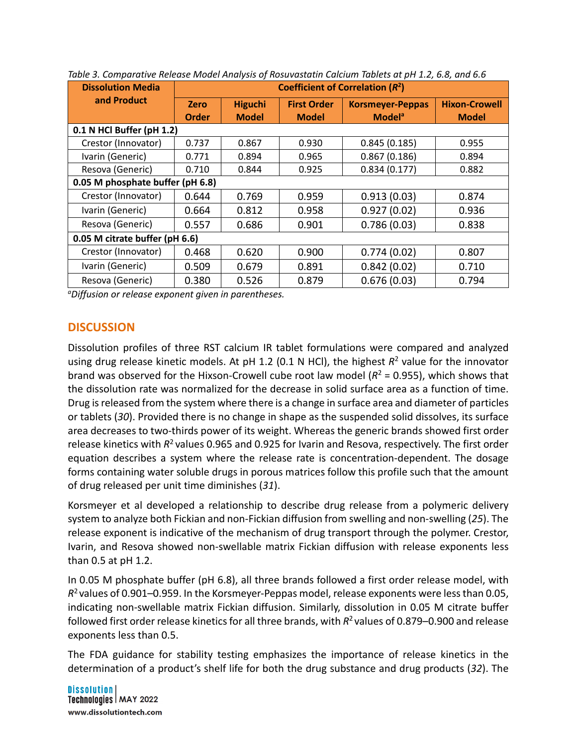| <b>Dissolution Media</b>         | Coefficient of Correlation $(R^2)$ |                |                    |                          |                      |  |  |  |  |
|----------------------------------|------------------------------------|----------------|--------------------|--------------------------|----------------------|--|--|--|--|
| and Product                      | <b>Zero</b>                        | <b>Higuchi</b> | <b>First Order</b> | <b>Korsmeyer-Peppas</b>  | <b>Hixon-Crowell</b> |  |  |  |  |
|                                  | <b>Order</b>                       | <b>Model</b>   | <b>Model</b>       | <b>Model<sup>a</sup></b> | <b>Model</b>         |  |  |  |  |
| 0.1 N HCl Buffer (pH 1.2)        |                                    |                |                    |                          |                      |  |  |  |  |
| Crestor (Innovator)              | 0.737                              | 0.867          | 0.930              | 0.845(0.185)             | 0.955                |  |  |  |  |
| Ivarin (Generic)                 | 0.771                              | 0.894          | 0.965              | 0.867(0.186)             | 0.894                |  |  |  |  |
| Resova (Generic)                 | 0.710                              | 0.844          | 0.925              | 0.834(0.177)             | 0.882                |  |  |  |  |
| 0.05 M phosphate buffer (pH 6.8) |                                    |                |                    |                          |                      |  |  |  |  |
| Crestor (Innovator)              | 0.644                              | 0.769          | 0.959              | 0.913(0.03)              | 0.874                |  |  |  |  |
| Ivarin (Generic)                 | 0.664                              | 0.812          | 0.958              | 0.927(0.02)              | 0.936                |  |  |  |  |
| Resova (Generic)                 | 0.557                              | 0.686          | 0.901              | 0.786(0.03)              | 0.838                |  |  |  |  |
| 0.05 M citrate buffer (pH 6.6)   |                                    |                |                    |                          |                      |  |  |  |  |
| Crestor (Innovator)              | 0.468                              | 0.620          | 0.900              | 0.774(0.02)              | 0.807                |  |  |  |  |
| Ivarin (Generic)                 | 0.509                              | 0.679          | 0.891              | 0.842(0.02)              | 0.710                |  |  |  |  |
| Resova (Generic)                 | 0.380                              | 0.526          | 0.879              | 0.676(0.03)              | 0.794                |  |  |  |  |

*Table 3. Comparative Release Model Analysis of Rosuvastatin Calcium Tablets at pH 1.2, 6.8, and 6.6*

*a Diffusion or release exponent given in parentheses.*

#### **DISCUSSION**

Dissolution profiles of three RST calcium IR tablet formulations were compared and analyzed using drug release kinetic models. At pH 1.2 (0.1 N HCl), the highest  $R^2$  value for the innovator brand was observed for the Hixson-Crowell cube root law model  $(R^2 = 0.955)$ , which shows that the dissolution rate was normalized for the decrease in solid surface area as a function of time. Drug is released from the system where there is a change in surface area and diameter of particles or tablets (*30*). Provided there is no change in shape as the suspended solid dissolves, its surface area decreases to two-thirds power of its weight. Whereas the generic brands showed first order release kinetics with *R*2 values 0.965 and 0.925 for Ivarin and Resova, respectively. The first order equation describes a system where the release rate is concentration-dependent. The dosage forms containing water soluble drugs in porous matrices follow this profile such that the amount of drug released per unit time diminishes (*31*).

Korsmeyer et al developed a relationship to describe drug release from a polymeric delivery system to analyze both Fickian and non-Fickian diffusion from swelling and non-swelling (*25*). The release exponent is indicative of the mechanism of drug transport through the polymer. Crestor, Ivarin, and Resova showed non-swellable matrix Fickian diffusion with release exponents less than 0.5 at pH 1.2.

In 0.05 M phosphate buffer (pH 6.8), all three brands followed a first order release model, with *R*2 values of 0.901–0.959. In the Korsmeyer-Peppas model, release exponents were less than 0.05, indicating non-swellable matrix Fickian diffusion. Similarly, dissolution in 0.05 M citrate buffer followed first order release kinetics for all three brands, with *R*2 values of 0.879–0.900 and release exponents less than 0.5.

The FDA guidance for stability testing emphasizes the importance of release kinetics in the determination of a product's shelf life for both the drug substance and drug products (*32*). The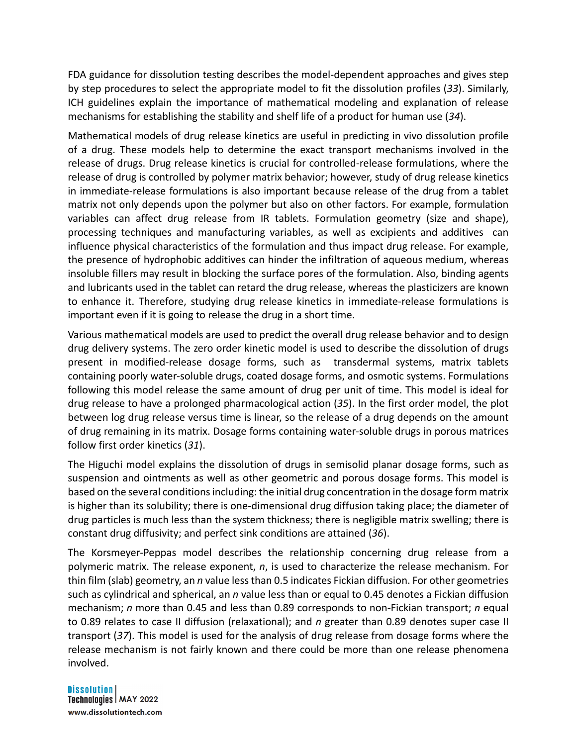FDA guidance for dissolution testing describes the model-dependent approaches and gives step by step procedures to select the appropriate model to fit the dissolution profiles (*33*). Similarly, ICH guidelines explain the importance of mathematical modeling and explanation of release mechanisms for establishing the stability and shelf life of a product for human use (*34*).

Mathematical models of drug release kinetics are useful in predicting in vivo dissolution profile of a drug. These models help to determine the exact transport mechanisms involved in the release of drugs. Drug release kinetics is crucial for controlled-release formulations, where the release of drug is controlled by polymer matrix behavior; however, study of drug release kinetics in immediate-release formulations is also important because release of the drug from a tablet matrix not only depends upon the polymer but also on other factors. For example, formulation variables can affect drug release from IR tablets. Formulation geometry (size and shape), processing techniques and manufacturing variables, as well as excipients and additives can influence physical characteristics of the formulation and thus impact drug release. For example, the presence of hydrophobic additives can hinder the infiltration of aqueous medium, whereas insoluble fillers may result in blocking the surface pores of the formulation. Also, binding agents and lubricants used in the tablet can retard the drug release, whereas the plasticizers are known to enhance it. Therefore, studying drug release kinetics in immediate-release formulations is important even if it is going to release the drug in a short time.

Various mathematical models are used to predict the overall drug release behavior and to design drug delivery systems. The zero order kinetic model is used to describe the dissolution of drugs present in modified-release dosage forms, such as transdermal systems, matrix tablets containing poorly water-soluble drugs, coated dosage forms, and osmotic systems. Formulations following this model release the same amount of drug per unit of time. This model is ideal for drug release to have a prolonged pharmacological action (*35*). In the first order model, the plot between log drug release versus time is linear, so the release of a drug depends on the amount of drug remaining in its matrix. Dosage forms containing water-soluble drugs in porous matrices follow first order kinetics (*31*).

The Higuchi model explains the dissolution of drugs in semisolid planar dosage forms, such as suspension and ointments as well as other geometric and porous dosage forms. This model is based on the several conditions including: the initial drug concentration in the dosage form matrix is higher than its solubility; there is one-dimensional drug diffusion taking place; the diameter of drug particles is much less than the system thickness; there is negligible matrix swelling; there is constant drug diffusivity; and perfect sink conditions are attained (*36*).

The Korsmeyer-Peppas model describes the relationship concerning drug release from a polymeric matrix. The release exponent, *n*, is used to characterize the release mechanism. For thin film (slab) geometry, an *n* value less than 0.5 indicates Fickian diffusion. For other geometries such as cylindrical and spherical, an *n* value less than or equal to 0.45 denotes a Fickian diffusion mechanism; *n* more than 0.45 and less than 0.89 corresponds to non-Fickian transport; *n* equal to 0.89 relates to case II diffusion (relaxational); and *n* greater than 0.89 denotes super case II transport (*37*). This model is used for the analysis of drug release from dosage forms where the release mechanism is not fairly known and there could be more than one release phenomena involved.

#### **Dissolution**

Technologies | MAY 2022 www.dissolutiontech.com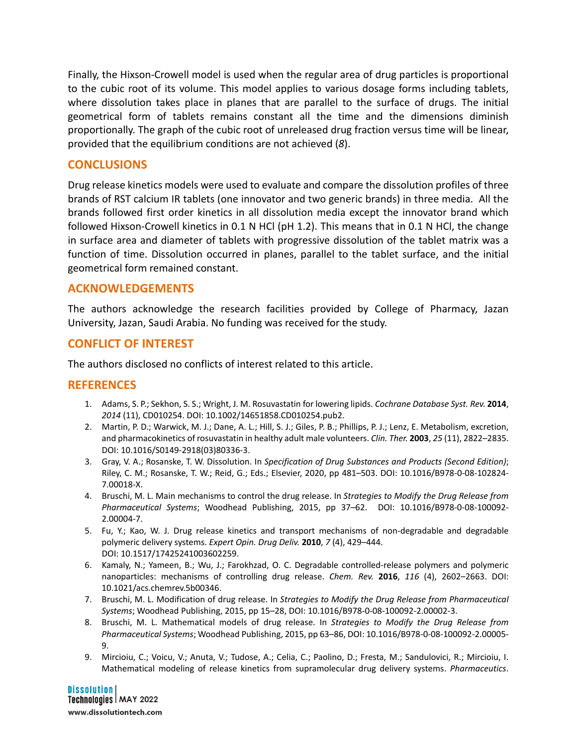Finally, the Hixson-Crowell model is used when the regular area of drug particles is proportional to the cubic root of its volume. This model applies to various dosage forms including tablets, where dissolution takes place in planes that are parallel to the surface of drugs. The initial geometrical form of tablets remains constant all the time and the dimensions diminish proportionally. The graph of the cubic root of unreleased drug fraction versus time will be linear, provided that the equilibrium conditions are not achieved (*8*).

## **CONCLUSIONS**

Drug release kinetics models were used to evaluate and compare the dissolution profiles of three brands of RST calcium IR tablets (one innovator and two generic brands) in three media. All the brands followed first order kinetics in all dissolution media except the innovator brand which followed Hixson-Crowell kinetics in 0.1 N HCl (pH 1.2). This means that in 0.1 N HCl, the change in surface area and diameter of tablets with progressive dissolution of the tablet matrix was a function of time. Dissolution occurred in planes, parallel to the tablet surface, and the initial geometrical form remained constant.

### **ACKNOWLEDGEMENTS**

The authors acknowledge the research facilities provided by College of Pharmacy, Jazan University, Jazan, Saudi Arabia. No funding was received for the study.

## **CONFLICT OF INTEREST**

The authors disclosed no conflicts of interest related to this article.

### **REFERENCES**

- 1. Adams, S. P.; Sekhon, S. S.; Wright, J. M. Rosuvastatin for lowering lipids. *Cochrane Database Syst. Rev.* **2014**, *2014* (11), CD010254. DOI: 10.1002/14651858.CD010254.pub2.
- 2. Martin, P. D.; Warwick, M. J.; Dane, A. L.; Hill, S. J.; Giles, P. B.; Phillips, P. J.; Lenz, E. Metabolism, excretion, and pharmacokinetics of rosuvastatin in healthy adult male volunteers. *Clin. Ther.* **2003**, *25* (11), 2822–2835. DOI: 10.1016/S0149-2918(03)80336-3.
- 3. Gray, V. A.; Rosanske, T. W. Dissolution. In *Specification of Drug Substances and Products (Second Edition)*; Riley, C. M.; Rosanske, T. W.; Reid, G.; Eds.; Elsevier, 2020, pp 481–503. DOI: 10.1016/B978-0-08-102824- 7.00018-X.
- 4. Bruschi, M. L. Main mechanisms to control the drug release. In *Strategies to Modify the Drug Release from Pharmaceutical Systems*; Woodhead Publishing, 2015, pp 37–62. DOI: 10.1016/B978-0-08-100092- 2.00004-7.
- 5. Fu, Y.; Kao, W. J. Drug release kinetics and transport mechanisms of non-degradable and degradable polymeric delivery systems. *Expert Opin. Drug Deliv.* **2010**, *7* (4), 429–444. DOI: 10.1517/17425241003602259.
- 6. Kamaly, N.; Yameen, B.; Wu, J.; Farokhzad, O. C. Degradable controlled-release polymers and polymeric nanoparticles: mechanisms of controlling drug release. *Chem. Rev.* **2016**, *116* (4), 2602–2663. DOI: 10.1021/acs.chemrev.5b00346.
- 7. Bruschi, M. L. Modification of drug release. In *Strategies to Modify the Drug Release from Pharmaceutical Systems*; Woodhead Publishing, 2015, pp 15–28, DOI: 10.1016/B978-0-08-100092-2.00002-3.
- 8. Bruschi, M. L. Mathematical models of drug release. In *Strategies to Modify the Drug Release from Pharmaceutical Systems*; Woodhead Publishing, 2015, pp 63–86, DOI: 10.1016/B978-0-08-100092-2.00005- 9.
- 9. Mircioiu, C.; Voicu, V.; Anuta, V.; Tudose, A.; Celia, C.; Paolino, D.; Fresta, M.; Sandulovici, R.; Mircioiu, I. Mathematical modeling of release kinetics from supramolecular drug delivery systems. *Pharmaceutics*.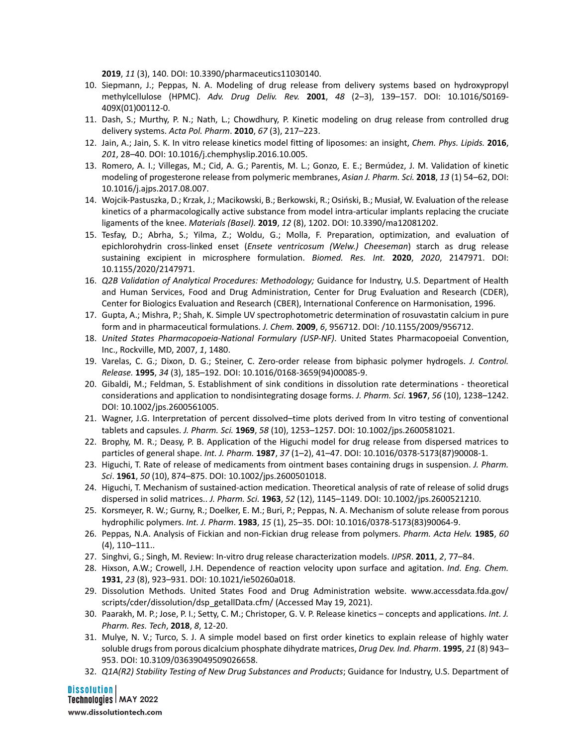**2019**, *11* (3), 140. DOI: 10.3390/pharmaceutics11030140.

- 10. Siepmann, J.; Peppas, N. A. Modeling of drug release from delivery systems based on hydroxypropyl methylcellulose (HPMC). *Adv. Drug Deliv. Rev.* **2001**, *48* (2–3), 139–157. DOI: 10.1016/S0169- 409X(01)00112-0.
- 11. Dash, S.; Murthy, P. N.; Nath, L.; Chowdhury, P. Kinetic modeling on drug release from controlled drug delivery systems. *Acta Pol. Pharm*. **2010**, *67* (3), 217–223.
- 12. Jain, A.; Jain, S. K. In vitro release kinetics model fitting of liposomes: an insight, *Chem. Phys. Lipids.* **2016**, *201*, 28–40. DOI: 10.1016/j.chemphyslip.2016.10.005.
- 13. Romero, A. I.; Villegas, M.; Cid, A. G.; Parentis, M. L.; Gonzo, E. E.; Bermúdez, J. M. Validation of kinetic modeling of progesterone release from polymeric membranes, *Asian J. Pharm. Sci.* **2018**, *13* (1) 54–62, DOI: 10.1016/j.ajps.2017.08.007.
- 14. Wojcik-Pastuszka, D.; Krzak, J.; Macikowski, B.; Berkowski, R.; Osiński, B.; Musiał, W. Evaluation of the release kinetics of a pharmacologically active substance from model intra-articular implants replacing the cruciate ligaments of the knee. *Materials (Basel).* **2019**, *12* (8), 1202. DOI: 10.3390/ma12081202.
- 15. Tesfay, D.; Abrha, S.; Yilma, Z.; Woldu, G.; Molla, F. Preparation, optimization, and evaluation of epichlorohydrin cross-linked enset (*Ensete ventricosum (Welw.) Cheeseman*) starch as drug release sustaining excipient in microsphere formulation. *Biomed. Res. Int.* **2020**, *2020*, 2147971. DOI: 10.1155/2020/2147971.
- 16. *Q2B Validation of Analytical Procedures: Methodology;* Guidance for Industry, U.S. Department of Health and Human Services, Food and Drug Administration, Center for Drug Evaluation and Research (CDER), Center for Biologics Evaluation and Research (CBER), International Conference on Harmonisation, 1996.
- 17. Gupta, A.; Mishra, P.; Shah, K. Simple UV spectrophotometric determination of rosuvastatin calcium in pure form and in pharmaceutical formulations. *J. Chem.* **2009**, *6*, 956712. DOI: /10.1155/2009/956712.
- 18. *United States Pharmacopoeia-National Formulary (USP-NF)*. United States Pharmacopoeial Convention, Inc., Rockville, MD, 2007, *1*, 1480.
- 19. Varelas, C. G.; Dixon, D. G.; Steiner, C. Zero-order release from biphasic polymer hydrogels. *J. Control. Release.* **1995**, *34* (3), 185–192. DOI: 10.1016/0168-3659(94)00085-9.
- 20. Gibaldi, M.; Feldman, S. Establishment of sink conditions in dissolution rate determinations theoretical considerations and application to nondisintegrating dosage forms. *J. Pharm. Sci.* **1967**, *56* (10), 1238–1242. DOI: 10.1002/jps.2600561005.
- 21. Wagner, J.G. Interpretation of percent dissolved–time plots derived from In vitro testing of conventional tablets and capsules. *J. Pharm. Sci.* **1969**, *58* (10), 1253–1257. DOI: 10.1002/jps.2600581021.
- 22. Brophy, M. R.; Deasy, P. B. Application of the Higuchi model for drug release from dispersed matrices to particles of general shape. *Int. J. Pharm.* **1987**, *37* (1–2), 41–47. DOI: 10.1016/0378-5173(87)90008-1.
- 23. Higuchi, T. Rate of release of medicaments from ointment bases containing drugs in suspension. *J. Pharm. Sci*. **1961**, *50* (10), 874–875. DOI: 10.1002/jps.2600501018.
- 24. Higuchi, T. Mechanism of sustained-action medication. Theoretical analysis of rate of release of solid drugs dispersed in solid matrices.. *J. Pharm. Sci.* **1963**, *52* (12), 1145–1149. DOI: 10.1002/jps.2600521210.
- 25. Korsmeyer, R. W.; Gurny, R.; Doelker, E. M.; Buri, P.; Peppas, N. A. Mechanism of solute release from porous hydrophilic polymers. *Int. J. Pharm*. **1983**, *15* (1), 25–35. DOI: 10.1016/0378-5173(83)90064-9.
- 26. Peppas, N.A. Analysis of Fickian and non-Fickian drug release from polymers. *Pharm. Acta Helv.* **1985**, *60* (4), 110–111..
- 27. Singhvi, G.; Singh, M. Review: In-vitro drug release characterization models. *IJPSR*. **2011**, *2*, 77–84.
- 28. Hixson, A.W.; Crowell, J.H. Dependence of reaction velocity upon surface and agitation. *Ind. Eng. Chem.* **1931**, *23* (8), 923–931. DOI: 10.1021/ie50260a018.
- 29. Dissolution Methods. United States Food and Drug Administration website. www.accessdata.fda.gov/ scripts/cder/dissolution/dsp\_getallData.cfm/ (Accessed May 19, 2021).
- 30. Paarakh, M. P.; Jose, P. I.; Setty, C. M.; Christoper, G. V. P. Release kinetics concepts and applications. *Int. J. Pharm. Res. Tech*, **2018**, *8*, 12-20.
- 31. Mulye, N. V.; Turco, S. J. A simple model based on first order kinetics to explain release of highly water soluble drugs from porous dicalcium phosphate dihydrate matrices, *Drug Dev. Ind. Pharm*. **1995**, *21* (8) 943– 953. DOI: 10.3109/03639049509026658.
- 32. *Q1A(R2) Stability Testing of New Drug Substances and Products*; Guidance for Industry, U.S. Department of